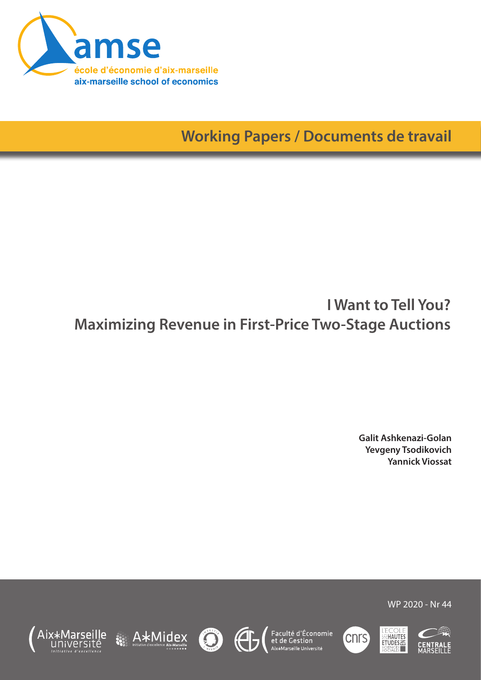

**Working Papers / Documents de travail**

# **I Want to Tell You? Maximizing Revenue in First-Price Two-Stage Auctions**

**Galit Ashkenazi-Golan Yevgeny Tsodikovich Yannick Viossat**















WP 2020 - Nr 44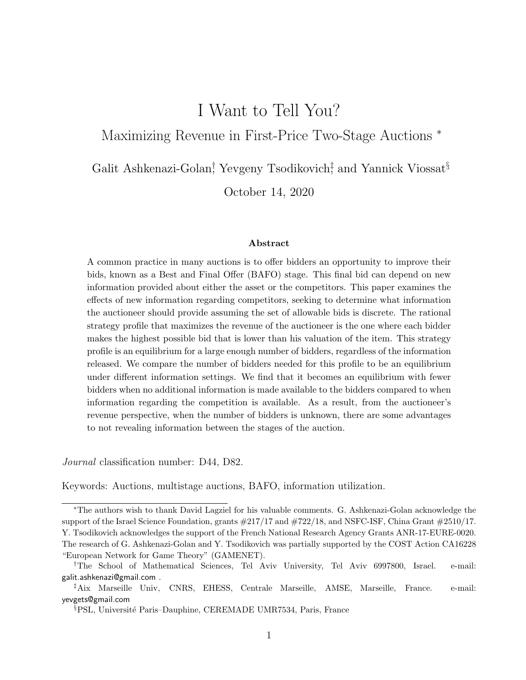## I Want to Tell You?

Maximizing Revenue in First-Price Two-Stage Auctions <sup>∗</sup>

Galit Ashkenazi-Golan<sup>†</sup> Yevgeny Tsodikovich<sup>‡</sup> and Yannick Viossat<sup>§</sup>

October 14, 2020

#### Abstract

A common practice in many auctions is to offer bidders an opportunity to improve their bids, known as a Best and Final Offer (BAFO) stage. This final bid can depend on new information provided about either the asset or the competitors. This paper examines the effects of new information regarding competitors, seeking to determine what information the auctioneer should provide assuming the set of allowable bids is discrete. The rational strategy profile that maximizes the revenue of the auctioneer is the one where each bidder makes the highest possible bid that is lower than his valuation of the item. This strategy profile is an equilibrium for a large enough number of bidders, regardless of the information released. We compare the number of bidders needed for this profile to be an equilibrium under different information settings. We find that it becomes an equilibrium with fewer bidders when no additional information is made available to the bidders compared to when information regarding the competition is available. As a result, from the auctioneer's revenue perspective, when the number of bidders is unknown, there are some advantages to not revealing information between the stages of the auction.

Journal classification number: D44, D82.

Keywords: Auctions, multistage auctions, BAFO, information utilization.

<sup>∗</sup>The authors wish to thank David Lagziel for his valuable comments. G. Ashkenazi-Golan acknowledge the support of the Israel Science Foundation, grants #217/17 and #722/18, and NSFC-ISF, China Grant #2510/17. Y. Tsodikovich acknowledges the support of the French National Research Agency Grants ANR-17-EURE-0020. The research of G. Ashkenazi-Golan and Y. Tsodikovich was partially supported by the COST Action CA16228 "European Network for Game Theory" (GAMENET).

<sup>†</sup>The School of Mathematical Sciences, Tel Aviv University, Tel Aviv 6997800, Israel. e-mail: galit.ashkenazi@gmail.com .

<sup>‡</sup>Aix Marseille Univ, CNRS, EHESS, Centrale Marseille, AMSE, Marseille, France. e-mail: yevgets@gmail.com

<sup>&</sup>lt;sup>§</sup>PSL, Université Paris–Dauphine, CEREMADE UMR7534, Paris, France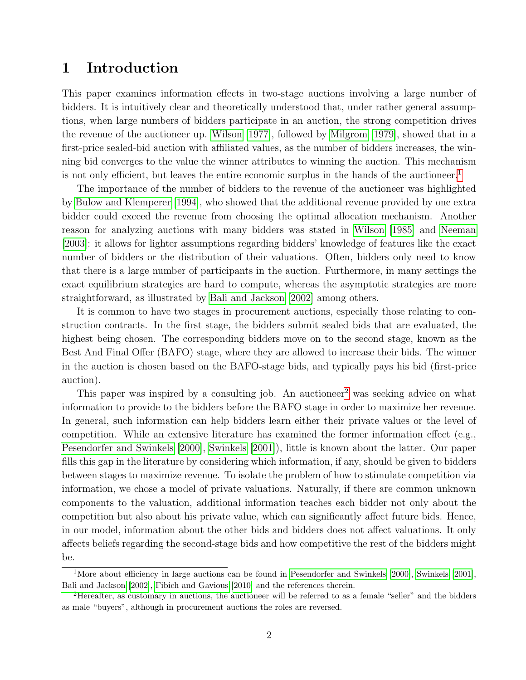## 1 Introduction

This paper examines information effects in two-stage auctions involving a large number of bidders. It is intuitively clear and theoretically understood that, under rather general assumptions, when large numbers of bidders participate in an auction, the strong competition drives the revenue of the auctioneer up. [Wilson](#page-18-0) [\[1977\]](#page-18-0), followed by [Milgrom](#page-17-0) [\[1979\]](#page-17-0), showed that in a first-price sealed-bid auction with affiliated values, as the number of bidders increases, the winning bid converges to the value the winner attributes to winning the auction. This mechanism is not only efficient, but leaves the entire economic surplus in the hands of the auctioneer.<sup>[1](#page-2-0)</sup>

The importance of the number of bidders to the revenue of the auctioneer was highlighted by [Bulow and Klemperer](#page-17-1) [\[1994\]](#page-17-1), who showed that the additional revenue provided by one extra bidder could exceed the revenue from choosing the optimal allocation mechanism. Another reason for analyzing auctions with many bidders was stated in [Wilson](#page-18-1) [\[1985\]](#page-18-1) and [Neeman](#page-17-2) [\[2003\]](#page-17-2): it allows for lighter assumptions regarding bidders' knowledge of features like the exact number of bidders or the distribution of their valuations. Often, bidders only need to know that there is a large number of participants in the auction. Furthermore, in many settings the exact equilibrium strategies are hard to compute, whereas the asymptotic strategies are more straightforward, as illustrated by [Bali and Jackson](#page-17-3) [\[2002\]](#page-17-3) among others.

It is common to have two stages in procurement auctions, especially those relating to construction contracts. In the first stage, the bidders submit sealed bids that are evaluated, the highest being chosen. The corresponding bidders move on to the second stage, known as the Best And Final Offer (BAFO) stage, where they are allowed to increase their bids. The winner in the auction is chosen based on the BAFO-stage bids, and typically pays his bid (first-price auction).

This paper was inspired by a consulting job. An auctioneer<sup>[2](#page-2-1)</sup> was seeking advice on what information to provide to the bidders before the BAFO stage in order to maximize her revenue. In general, such information can help bidders learn either their private values or the level of competition. While an extensive literature has examined the former information effect (e.g., [Pesendorfer and Swinkels](#page-18-2) [\[2000\]](#page-18-2), [Swinkels](#page-18-3) [\[2001\]](#page-18-3)), little is known about the latter. Our paper fills this gap in the literature by considering which information, if any, should be given to bidders between stages to maximize revenue. To isolate the problem of how to stimulate competition via information, we chose a model of private valuations. Naturally, if there are common unknown components to the valuation, additional information teaches each bidder not only about the competition but also about his private value, which can significantly affect future bids. Hence, in our model, information about the other bids and bidders does not affect valuations. It only affects beliefs regarding the second-stage bids and how competitive the rest of the bidders might be.

<span id="page-2-0"></span><sup>&</sup>lt;sup>1</sup>More about efficiency in large auctions can be found in [Pesendorfer and Swinkels](#page-18-2) [\[2000\]](#page-18-2), [Swinkels](#page-18-3) [\[2001\]](#page-18-3), [Bali and Jackson](#page-17-3) [\[2002\]](#page-17-3), [Fibich and Gavious](#page-17-4) [\[2010\]](#page-17-4) and the references therein.

<span id="page-2-1"></span><sup>2</sup>Hereafter, as customary in auctions, the auctioneer will be referred to as a female "seller" and the bidders as male "buyers", although in procurement auctions the roles are reversed.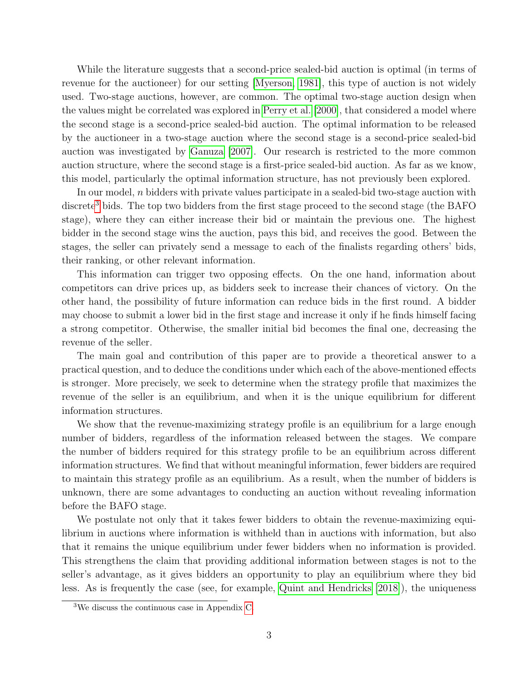While the literature suggests that a second-price sealed-bid auction is optimal (in terms of revenue for the auctioneer) for our setting [\[Myerson, 1981\]](#page-17-5), this type of auction is not widely used. Two-stage auctions, however, are common. The optimal two-stage auction design when the values might be correlated was explored in [Perry et al.](#page-18-4) [\[2000\]](#page-18-4), that considered a model where the second stage is a second-price sealed-bid auction. The optimal information to be released by the auctioneer in a two-stage auction where the second stage is a second-price sealed-bid auction was investigated by [Ganuza](#page-17-6) [\[2007\]](#page-17-6). Our research is restricted to the more common auction structure, where the second stage is a first-price sealed-bid auction. As far as we know, this model, particularly the optimal information structure, has not previously been explored.

In our model, n bidders with private values participate in a sealed-bid two-stage auction with discrete<sup>[3](#page-3-0)</sup> bids. The top two bidders from the first stage proceed to the second stage (the BAFO stage), where they can either increase their bid or maintain the previous one. The highest bidder in the second stage wins the auction, pays this bid, and receives the good. Between the stages, the seller can privately send a message to each of the finalists regarding others' bids, their ranking, or other relevant information.

This information can trigger two opposing effects. On the one hand, information about competitors can drive prices up, as bidders seek to increase their chances of victory. On the other hand, the possibility of future information can reduce bids in the first round. A bidder may choose to submit a lower bid in the first stage and increase it only if he finds himself facing a strong competitor. Otherwise, the smaller initial bid becomes the final one, decreasing the revenue of the seller.

The main goal and contribution of this paper are to provide a theoretical answer to a practical question, and to deduce the conditions under which each of the above-mentioned effects is stronger. More precisely, we seek to determine when the strategy profile that maximizes the revenue of the seller is an equilibrium, and when it is the unique equilibrium for different information structures.

We show that the revenue-maximizing strategy profile is an equilibrium for a large enough number of bidders, regardless of the information released between the stages. We compare the number of bidders required for this strategy profile to be an equilibrium across different information structures. We find that without meaningful information, fewer bidders are required to maintain this strategy profile as an equilibrium. As a result, when the number of bidders is unknown, there are some advantages to conducting an auction without revealing information before the BAFO stage.

We postulate not only that it takes fewer bidders to obtain the revenue-maximizing equilibrium in auctions where information is withheld than in auctions with information, but also that it remains the unique equilibrium under fewer bidders when no information is provided. This strengthens the claim that providing additional information between stages is not to the seller's advantage, as it gives bidders an opportunity to play an equilibrium where they bid less. As is frequently the case (see, for example, [Quint and Hendricks](#page-18-5) [\[2018\]](#page-18-5)), the uniqueness

<span id="page-3-0"></span><sup>3</sup>We discuss the continuous case in Appendix [C.](#page-22-0)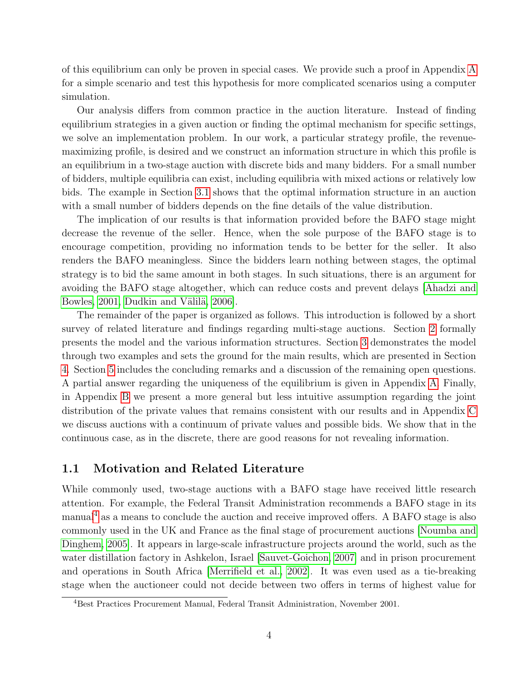of this equilibrium can only be proven in special cases. We provide such a proof in Appendix [A](#page-19-0) for a simple scenario and test this hypothesis for more complicated scenarios using a computer simulation.

Our analysis differs from common practice in the auction literature. Instead of finding equilibrium strategies in a given auction or finding the optimal mechanism for specific settings, we solve an implementation problem. In our work, a particular strategy profile, the revenuemaximizing profile, is desired and we construct an information structure in which this profile is an equilibrium in a two-stage auction with discrete bids and many bidders. For a small number of bidders, multiple equilibria can exist, including equilibria with mixed actions or relatively low bids. The example in Section [3.1](#page-10-0) shows that the optimal information structure in an auction with a small number of bidders depends on the fine details of the value distribution.

The implication of our results is that information provided before the BAFO stage might decrease the revenue of the seller. Hence, when the sole purpose of the BAFO stage is to encourage competition, providing no information tends to be better for the seller. It also renders the BAFO meaningless. Since the bidders learn nothing between stages, the optimal strategy is to bid the same amount in both stages. In such situations, there is an argument for avoiding the BAFO stage altogether, which can reduce costs and prevent delays [\[Ahadzi and](#page-17-7) [Bowles, 2001,](#page-17-7) Dudkin and Välilä, 2006].

The remainder of the paper is organized as follows. This introduction is followed by a short survey of related literature and findings regarding multi-stage auctions. Section [2](#page-6-0) formally presents the model and the various information structures. Section [3](#page-9-0) demonstrates the model through two examples and sets the ground for the main results, which are presented in Section [4.](#page-13-0) Section [5](#page-16-0) includes the concluding remarks and a discussion of the remaining open questions. A partial answer regarding the uniqueness of the equilibrium is given in Appendix [A.](#page-19-0) Finally, in Appendix [B](#page-21-0) we present a more general but less intuitive assumption regarding the joint distribution of the private values that remains consistent with our results and in Appendix [C](#page-22-0) we discuss auctions with a continuum of private values and possible bids. We show that in the continuous case, as in the discrete, there are good reasons for not revealing information.

#### 1.1 Motivation and Related Literature

While commonly used, two-stage auctions with a BAFO stage have received little research attention. For example, the Federal Transit Administration recommends a BAFO stage in its manual[4](#page-4-0) as a means to conclude the auction and receive improved offers. A BAFO stage is also commonly used in the UK and France as the final stage of procurement auctions [\[Noumba and](#page-18-6) [Dinghem, 2005\]](#page-18-6). It appears in large-scale infrastructure projects around the world, such as the water distillation factory in Ashkelon, Israel [\[Sauvet-Goichon, 2007\]](#page-18-7) and in prison procurement and operations in South Africa [\[Merrifield et al., 2002\]](#page-17-9). It was even used as a tie-breaking stage when the auctioneer could not decide between two offers in terms of highest value for

<span id="page-4-0"></span><sup>4</sup>Best Practices Procurement Manual, Federal Transit Administration, November 2001.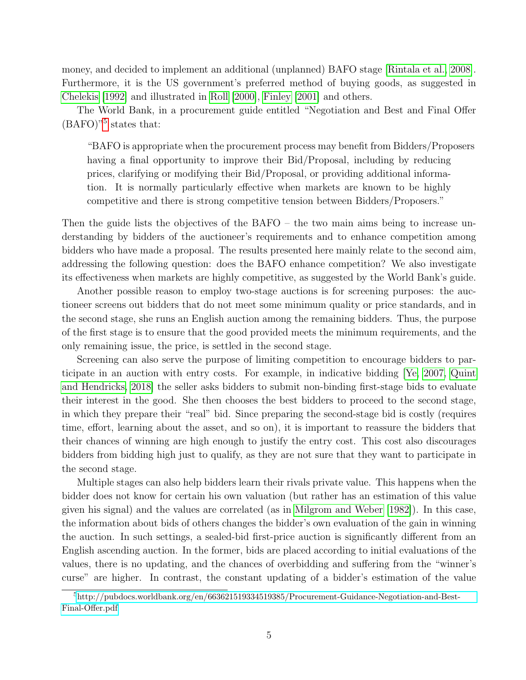money, and decided to implement an additional (unplanned) BAFO stage [\[Rintala et al., 2008\]](#page-18-8). Furthermore, it is the US government's preferred method of buying goods, as suggested in [Chelekis](#page-17-10) [\[1992\]](#page-17-10) and illustrated in [Roll](#page-18-9) [\[2000\]](#page-18-9), [Finley](#page-17-11) [\[2001\]](#page-17-11) and others.

The World Bank, in a procurement guide entitled "Negotiation and Best and Final Offer  $(BAFO)<sup>5</sup>$  $(BAFO)<sup>5</sup>$  $(BAFO)<sup>5</sup>$  states that:

"BAFO is appropriate when the procurement process may benefit from Bidders/Proposers having a final opportunity to improve their Bid/Proposal, including by reducing prices, clarifying or modifying their Bid/Proposal, or providing additional information. It is normally particularly effective when markets are known to be highly competitive and there is strong competitive tension between Bidders/Proposers."

Then the guide lists the objectives of the BAFO – the two main aims being to increase understanding by bidders of the auctioneer's requirements and to enhance competition among bidders who have made a proposal. The results presented here mainly relate to the second aim, addressing the following question: does the BAFO enhance competition? We also investigate its effectiveness when markets are highly competitive, as suggested by the World Bank's guide.

Another possible reason to employ two-stage auctions is for screening purposes: the auctioneer screens out bidders that do not meet some minimum quality or price standards, and in the second stage, she runs an English auction among the remaining bidders. Thus, the purpose of the first stage is to ensure that the good provided meets the minimum requirements, and the only remaining issue, the price, is settled in the second stage.

Screening can also serve the purpose of limiting competition to encourage bidders to participate in an auction with entry costs. For example, in indicative bidding [\[Ye, 2007,](#page-18-10) [Quint](#page-18-5) [and Hendricks, 2018\]](#page-18-5) the seller asks bidders to submit non-binding first-stage bids to evaluate their interest in the good. She then chooses the best bidders to proceed to the second stage, in which they prepare their "real" bid. Since preparing the second-stage bid is costly (requires time, effort, learning about the asset, and so on), it is important to reassure the bidders that their chances of winning are high enough to justify the entry cost. This cost also discourages bidders from bidding high just to qualify, as they are not sure that they want to participate in the second stage.

Multiple stages can also help bidders learn their rivals private value. This happens when the bidder does not know for certain his own valuation (but rather has an estimation of this value given his signal) and the values are correlated (as in [Milgrom and Weber](#page-17-12) [\[1982\]](#page-17-12)). In this case, the information about bids of others changes the bidder's own evaluation of the gain in winning the auction. In such settings, a sealed-bid first-price auction is significantly different from an English ascending auction. In the former, bids are placed according to initial evaluations of the values, there is no updating, and the chances of overbidding and suffering from the "winner's curse" are higher. In contrast, the constant updating of a bidder's estimation of the value

<span id="page-5-0"></span><sup>5</sup>[http://pubdocs.worldbank.org/en/663621519334519385/Procurement-Guidance-Negotiation-and-Best-](http://pubdocs.worldbank.org/en/663621519334519385/Procurement-Guidance-Negotiation-and-Best-Final-Offer.pdf)[Final-Offer.pdf](http://pubdocs.worldbank.org/en/663621519334519385/Procurement-Guidance-Negotiation-and-Best-Final-Offer.pdf)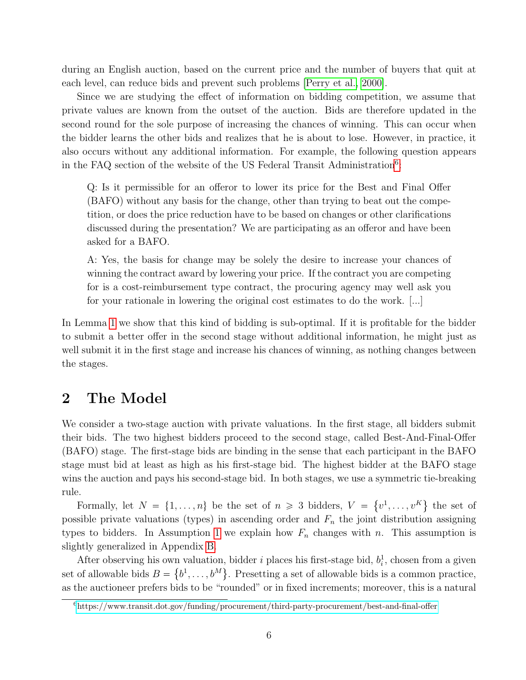during an English auction, based on the current price and the number of buyers that quit at each level, can reduce bids and prevent such problems [\[Perry et al., 2000\]](#page-18-4).

Since we are studying the effect of information on bidding competition, we assume that private values are known from the outset of the auction. Bids are therefore updated in the second round for the sole purpose of increasing the chances of winning. This can occur when the bidder learns the other bids and realizes that he is about to lose. However, in practice, it also occurs without any additional information. For example, the following question appears in the FAQ section of the website of the US Federal Transit Administration<sup>[6](#page-6-1)</sup>:

Q: Is it permissible for an offeror to lower its price for the Best and Final Offer (BAFO) without any basis for the change, other than trying to beat out the competition, or does the price reduction have to be based on changes or other clarifications discussed during the presentation? We are participating as an offeror and have been asked for a BAFO.

A: Yes, the basis for change may be solely the desire to increase your chances of winning the contract award by lowering your price. If the contract you are competing for is a cost-reimbursement type contract, the procuring agency may well ask you for your rationale in lowering the original cost estimates to do the work. [...]

In Lemma [1](#page-13-1) we show that this kind of bidding is sub-optimal. If it is profitable for the bidder to submit a better offer in the second stage without additional information, he might just as well submit it in the first stage and increase his chances of winning, as nothing changes between the stages.

### <span id="page-6-0"></span>2 The Model

We consider a two-stage auction with private valuations. In the first stage, all bidders submit their bids. The two highest bidders proceed to the second stage, called Best-And-Final-Offer (BAFO) stage. The first-stage bids are binding in the sense that each participant in the BAFO stage must bid at least as high as his first-stage bid. The highest bidder at the BAFO stage wins the auction and pays his second-stage bid. In both stages, we use a symmetric tie-breaking rule.

Formally, let  $N = \{1, \ldots, n\}$  be the set of  $n \geq 3$  bidders,  $V = \{v^1, \ldots, v^K\}$  the set of possible private valuations (types) in ascending order and  $F_n$  the joint distribution assigning types to bidders. In Assumption [1](#page-8-0) we explain how  $F_n$  changes with n. This assumption is slightly generalized in Appendix [B.](#page-21-0)

After observing his own valuation, bidder *i* places his first-stage bid,  $b_i^1$ , chosen from a given set of allowable bids  $B = \{b^1, \ldots, b^M\}$ . Presetting a set of allowable bids is a common practice, as the auctioneer prefers bids to be "rounded" or in fixed increments; moreover, this is a natural

<span id="page-6-1"></span> $6$ <https://www.transit.dot.gov/funding/procurement/third-party-procurement/best-and-final-offer>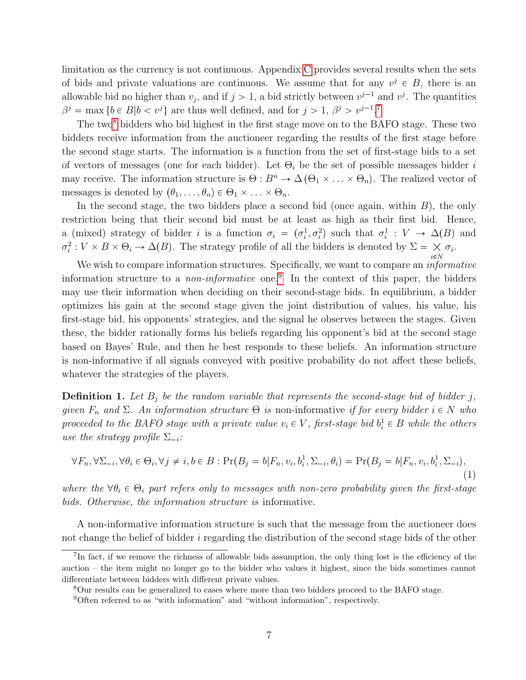limitation as the currency is not continuous. Appendix [C](#page-22-0) provides several results when the sets of bids and private valuations are continuous. We assume that for any  $v^j \in B$ , there is an allowable bid no higher than  $v_j$ , and if  $j > 1$ , a bid strictly between  $v^{j-1}$  and  $v^j$ . The quantities  $\beta^j = \max \{b \in B | b < v^j\}$  are thus well defined, and for  $j > 1$ ,  $\beta^j > v^{j-1}$ .

The two<sup>[8](#page-7-1)</sup> bidders who bid highest in the first stage move on to the BAFO stage. These two bidders receive information from the auctioneer regarding the results of the first stage before the second stage starts. The information is a function from the set of first-stage bids to a set of vectors of messages (one for each bidder). Let  $\Theta_i$  be the set of possible messages bidder i may receive. The information structure is  $\Theta: B^n \to \Delta(\Theta_1 \times ... \times \Theta_n)$ . The realized vector of messages is denoted by  $(\theta_1, \ldots, \theta_n) \in \Theta_1 \times \ldots \times \Theta_n$ .

In the second stage, the two bidders place a second bid (once again, within  $B$ ), the only restriction being that their second bid must be at least as high as their first bid. Hence, a (mixed) strategy of bidder *i* is a function  $\sigma_i = (\sigma_i^1, \sigma_i^2)$  such that  $\sigma_i^1 : V \to \Delta(B)$  and  $\sigma_i^2: V \times B \times \Theta_i \to \Delta(B)$ . The strategy profile of all the bidders is denoted by  $\Sigma = \times \sigma_i$ .

We wish to compare information structures. Specifically, we want to compare an *informative* information structure to a *non-informative* one.<sup>[9](#page-7-2)</sup> In the context of this paper, the bidders may use their information when deciding on their second-stage bids. In equilibrium, a bidder optimizes his gain at the second stage given the joint distribution of values, his value, his first-stage bid, his opponents' strategies, and the signal he observes between the stages. Given these, the bidder rationally forms his beliefs regarding his opponent's bid at the second stage based on Bayes' Rule, and then he best responds to these beliefs. An information structure is non-informative if all signals conveyed with positive probability do not affect these beliefs, whatever the strategies of the players.

**Definition 1.** Let  $B_j$  be the random variable that represents the second-stage bid of bidder j, given  $F_n$  and  $\Sigma$ . An information structure  $\Theta$  is non-informative if for every bidder  $i \in N$  who proceeded to the BAFO stage with a private value  $v_i \in V$ , first-stage bid  $b_i^1 \in B$  while the others use the strategy profile  $\Sigma_{-i}$ :

$$
\forall F_n, \forall \Sigma_{-i}, \forall \theta_i \in \Theta_i, \forall j \neq i, b \in B : \Pr(B_j = b | F_n, v_i, b_i^1, \Sigma_{-i}, \theta_i) = \Pr(B_j = b | F_n, v_i, b_i^1, \Sigma_{-i}),
$$
\n(1)

where the  $\forall \theta_i \in \Theta_i$  part refers only to messages with non-zero probability given the first-stage bids. Otherwise, the information structure is informative.

A non-informative information structure is such that the message from the auctioneer does not change the belief of bidder i regarding the distribution of the second stage bids of the other

<span id="page-7-0"></span><sup>&</sup>lt;sup>7</sup>In fact, if we remove the richness of allowable bids assumption, the only thing lost is the efficiency of the auction – the item might no longer go to the bidder who values it highest, since the bids sometimes cannot differentiate between bidders with different private values.

<span id="page-7-1"></span><sup>8</sup>Our results can be generalized to cases where more than two bidders proceed to the BAFO stage.

<span id="page-7-2"></span><sup>9</sup>Often referred to as "with information" and "without information", respectively.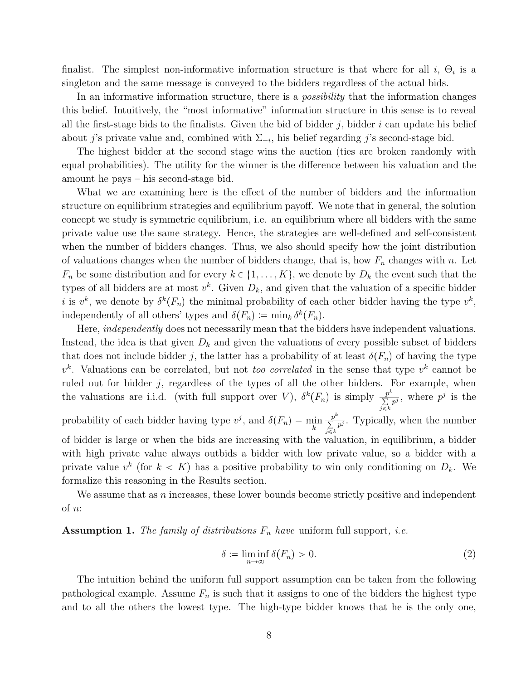finalist. The simplest non-informative information structure is that where for all  $i, \Theta_i$  is a singleton and the same message is conveyed to the bidders regardless of the actual bids.

In an informative information structure, there is a *possibility* that the information changes this belief. Intuitively, the "most informative" information structure in this sense is to reveal all the first-stage bids to the finalists. Given the bid of bidder j, bidder i can update his belief about j's private value and, combined with  $\Sigma_{-i}$ , his belief regarding j's second-stage bid.

The highest bidder at the second stage wins the auction (ties are broken randomly with equal probabilities). The utility for the winner is the difference between his valuation and the amount he pays – his second-stage bid.

What we are examining here is the effect of the number of bidders and the information structure on equilibrium strategies and equilibrium payoff. We note that in general, the solution concept we study is symmetric equilibrium, i.e. an equilibrium where all bidders with the same private value use the same strategy. Hence, the strategies are well-defined and self-consistent when the number of bidders changes. Thus, we also should specify how the joint distribution of valuations changes when the number of bidders change, that is, how  $F_n$  changes with n. Let  $F_n$  be some distribution and for every  $k \in \{1, ..., K\}$ , we denote by  $D_k$  the event such that the types of all bidders are at most  $v^k$ . Given  $D_k$ , and given that the valuation of a specific bidder *i* is  $v^k$ , we denote by  $\delta^k(F_n)$  the minimal probability of each other bidder having the type  $v^k$ , independently of all others' types and  $\delta(F_n) := \min_k \delta^k(F_n)$ .

Here, *independently* does not necessarily mean that the bidders have independent valuations. Instead, the idea is that given  $D_k$  and given the valuations of every possible subset of bidders that does not include bidder j, the latter has a probability of at least  $\delta(F_n)$  of having the type  $v<sup>k</sup>$ . Valuations can be correlated, but not *too correlated* in the sense that type  $v<sup>k</sup>$  cannot be ruled out for bidder  $j$ , regardless of the types of all the other bidders. For example, when the valuations are i.i.d. (with full support over V),  $\delta^{k}(F_n)$  is simply  $\frac{p^{k}}{\sum_{i=1}^{n}}$  $\frac{p^k}{\sum\limits_{j\leqslant k}p^j}$ , where  $p^j$  is the probability of each bidder having type  $v^j$ , and  $\delta(F_n) = \min_k$  $p^k$  $\frac{p^k}{\sum\limits_{j\leq k}p^j}$ . Typically, when the number of bidder is large or when the bids are increasing with the valuation, in equilibrium, a bidder with high private value always outbids a bidder with low private value, so a bidder with a private value  $v^k$  (for  $k < K$ ) has a positive probability to win only conditioning on  $D_k$ . We formalize this reasoning in the Results section.

We assume that as  $n$  increases, these lower bounds become strictly positive and independent of n:

<span id="page-8-0"></span>**Assumption 1.** The family of distributions  $F_n$  have uniform full support, *i.e.* 

$$
\delta := \liminf_{n \to \infty} \delta(F_n) > 0. \tag{2}
$$

The intuition behind the uniform full support assumption can be taken from the following pathological example. Assume  $F_n$  is such that it assigns to one of the bidders the highest type and to all the others the lowest type. The high-type bidder knows that he is the only one,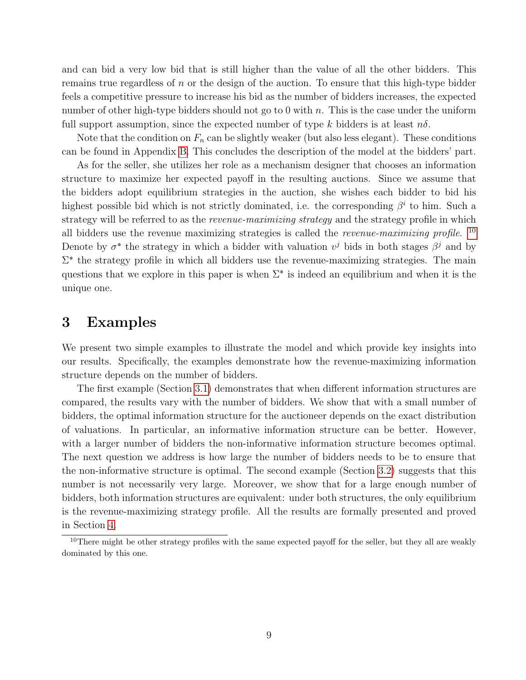and can bid a very low bid that is still higher than the value of all the other bidders. This remains true regardless of  $n$  or the design of the auction. To ensure that this high-type bidder feels a competitive pressure to increase his bid as the number of bidders increases, the expected number of other high-type bidders should not go to 0 with n. This is the case under the uniform full support assumption, since the expected number of type k bidders is at least  $n\delta$ .

Note that the condition on  $F_n$  can be slightly weaker (but also less elegant). These conditions can be found in Appendix [B.](#page-21-0) This concludes the description of the model at the bidders' part.

As for the seller, she utilizes her role as a mechanism designer that chooses an information structure to maximize her expected payoff in the resulting auctions. Since we assume that the bidders adopt equilibrium strategies in the auction, she wishes each bidder to bid his highest possible bid which is not strictly dominated, i.e. the corresponding  $\beta^i$  to him. Such a strategy will be referred to as the *revenue-maximizing strategy* and the strategy profile in which all bidders use the revenue maximizing strategies is called the *revenue-maximizing profile*.  $^{10}$  $^{10}$  $^{10}$ Denote by  $\sigma^*$  the strategy in which a bidder with valuation  $v^j$  bids in both stages  $\beta^j$  and by  $\Sigma^*$  the strategy profile in which all bidders use the revenue-maximizing strategies. The main questions that we explore in this paper is when  $\Sigma^*$  is indeed an equilibrium and when it is the unique one.

### <span id="page-9-0"></span>3 Examples

We present two simple examples to illustrate the model and which provide key insights into our results. Specifically, the examples demonstrate how the revenue-maximizing information structure depends on the number of bidders.

The first example (Section [3.1\)](#page-10-0) demonstrates that when different information structures are compared, the results vary with the number of bidders. We show that with a small number of bidders, the optimal information structure for the auctioneer depends on the exact distribution of valuations. In particular, an informative information structure can be better. However, with a larger number of bidders the non-informative information structure becomes optimal. The next question we address is how large the number of bidders needs to be to ensure that the non-informative structure is optimal. The second example (Section [3.2\)](#page-11-0) suggests that this number is not necessarily very large. Moreover, we show that for a large enough number of bidders, both information structures are equivalent: under both structures, the only equilibrium is the revenue-maximizing strategy profile. All the results are formally presented and proved in Section [4.](#page-13-0)

<span id="page-9-1"></span><sup>&</sup>lt;sup>10</sup>There might be other strategy profiles with the same expected payoff for the seller, but they all are weakly dominated by this one.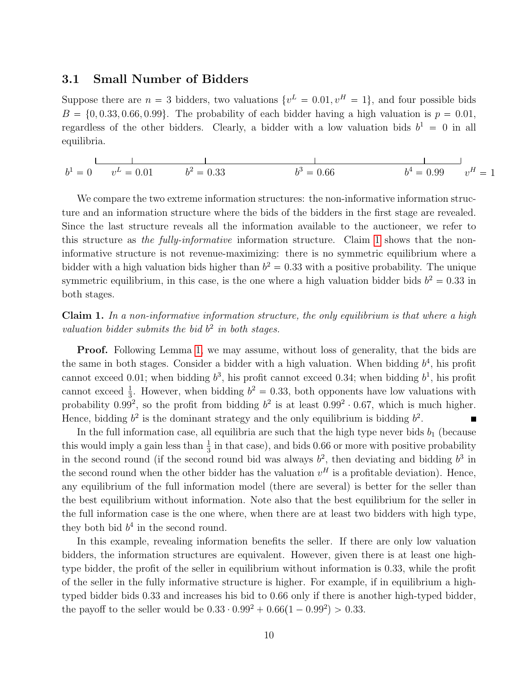#### <span id="page-10-0"></span>3.1 Small Number of Bidders

Suppose there are  $n = 3$  bidders, two valuations  $\{v^L = 0.01, v^H = 1\}$ , and four possible bids  $B = \{0, 0.33, 0.66, 0.99\}$ . The probability of each bidder having a high valuation is  $p = 0.01$ , regardless of the other bidders. Clearly, a bidder with a low valuation bids  $b^1 = 0$  in all equilibria.

 $b^1 = 0$   $v^L = 0.01$   $b^2 = 0.33$   $b^3 = 0.66$   $b^4 = 0.99$  v  $y^4 = 0.99$   $v^H = 1$  $b^3 = 0.66$  b

We compare the two extreme information structures: the non-informative information structure and an information structure where the bids of the bidders in the first stage are revealed. Since the last structure reveals all the information available to the auctioneer, we refer to this structure as the fully-informative information structure. Claim [1](#page-10-1) shows that the noninformative structure is not revenue-maximizing: there is no symmetric equilibrium where a bidder with a high valuation bids higher than  $b^2 = 0.33$  with a positive probability. The unique symmetric equilibrium, in this case, is the one where a high valuation bidder bids  $b^2 = 0.33$  in both stages.

<span id="page-10-1"></span>Claim 1. In a non-informative information structure, the only equilibrium is that where a high valuation bidder submits the bid  $b<sup>2</sup>$  in both stages.

**Proof.** Following Lemma [1,](#page-13-1) we may assume, without loss of generality, that the bids are the same in both stages. Consider a bidder with a high valuation. When bidding  $b<sup>4</sup>$ , his profit cannot exceed 0.01; when bidding  $b^3$ , his profit cannot exceed 0.34; when bidding  $b^1$ , his profit cannot exceed  $\frac{1}{3}$ . However, when bidding  $b^2 = 0.33$ , both opponents have low valuations with probability 0.99<sup>2</sup>, so the profit from bidding  $b^2$  is at least  $0.99^2 \cdot 0.67$ , which is much higher. Hence, bidding  $b^2$  is the dominant strategy and the only equilibrium is bidding  $b^2$ .

In the full information case, all equilibria are such that the high type never bids  $b_1$  (because this would imply a gain less than  $\frac{1}{3}$  in that case), and bids 0.66 or more with positive probability in the second round (if the second round bid was always  $b^2$ , then deviating and bidding  $b^3$  in the second round when the other bidder has the valuation  $v^H$  is a profitable deviation). Hence, any equilibrium of the full information model (there are several) is better for the seller than the best equilibrium without information. Note also that the best equilibrium for the seller in the full information case is the one where, when there are at least two bidders with high type, they both bid  $b^4$  in the second round.

In this example, revealing information benefits the seller. If there are only low valuation bidders, the information structures are equivalent. However, given there is at least one hightype bidder, the profit of the seller in equilibrium without information is 0.33, while the profit of the seller in the fully informative structure is higher. For example, if in equilibrium a hightyped bidder bids 0.33 and increases his bid to 0.66 only if there is another high-typed bidder, the payoff to the seller would be  $0.33 \cdot 0.99^2 + 0.66(1 - 0.99^2) > 0.33$ .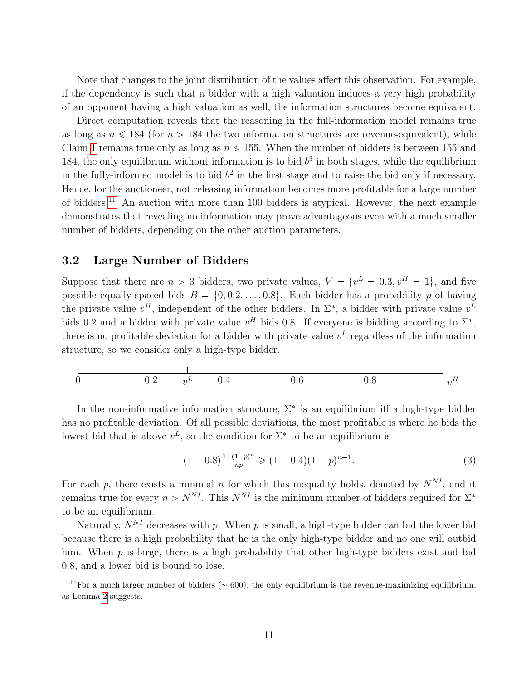Note that changes to the joint distribution of the values affect this observation. For example, if the dependency is such that a bidder with a high valuation induces a very high probability of an opponent having a high valuation as well, the information structures become equivalent.

Direct computation reveals that the reasoning in the full-information model remains true as long as  $n \le 184$  (for  $n > 184$  the two information structures are revenue-equivalent), while Claim [1](#page-10-1) remains true only as long as  $n \le 155$ . When the number of bidders is between 155 and 184, the only equilibrium without information is to bid  $b<sup>3</sup>$  in both stages, while the equilibrium in the fully-informed model is to bid  $b<sup>2</sup>$  in the first stage and to raise the bid only if necessary. Hence, for the auctioneer, not releasing information becomes more profitable for a large number of bidders.[11](#page-11-1) An auction with more than 100 bidders is atypical. However, the next example demonstrates that revealing no information may prove advantageous even with a much smaller number of bidders, depending on the other auction parameters.

#### <span id="page-11-0"></span>3.2 Large Number of Bidders

Suppose that there are  $n > 3$  bidders, two private values,  $V = \{v^L = 0.3, v^H = 1\}$ , and five possible equally-spaced bids  $B = \{0, 0.2, ..., 0.8\}$ . Each bidder has a probability p of having the private value  $v^H$ , independent of the other bidders. In  $\Sigma^*$ , a bidder with private value  $v^L$ bids 0.2 and a bidder with private value  $v^H$  bids 0.8. If everyone is bidding according to  $\Sigma^*$ , there is no profitable deviation for a bidder with private value  $v<sup>L</sup>$  regardless of the information structure, so we consider only a high-type bidder.



In the non-informative information structure,  $\Sigma^*$  is an equilibrium iff a high-type bidder has no profitable deviation. Of all possible deviations, the most profitable is where he bids the lowest bid that is above  $v^L$ , so the condition for  $\Sigma^*$  to be an equilibrium is

$$
(1 - 0.8)^{\frac{1 - (1 - p)^n}{np}} \geq (1 - 0.4)(1 - p)^{n - 1}.
$$
\n(3)

For each p, there exists a minimal n for which this inequality holds, denoted by  $N^{NI}$ , and it remains true for every  $n > N^{NI}$ . This  $N^{NI}$  is the minimum number of bidders required for  $\Sigma^*$ to be an equilibrium.

Naturally,  $N^{NI}$  decreases with p. When p is small, a high-type bidder can bid the lower bid because there is a high probability that he is the only high-type bidder and no one will outbid him. When  $p$  is large, there is a high probability that other high-type bidders exist and bid 0.8, and a lower bid is bound to lose.

<span id="page-11-1"></span><sup>&</sup>lt;sup>11</sup>For a much larger number of bidders ( $\sim$  600), the only equilibrium is the revenue-maximizing equilibrium, as Lemma [2](#page-13-2) suggests.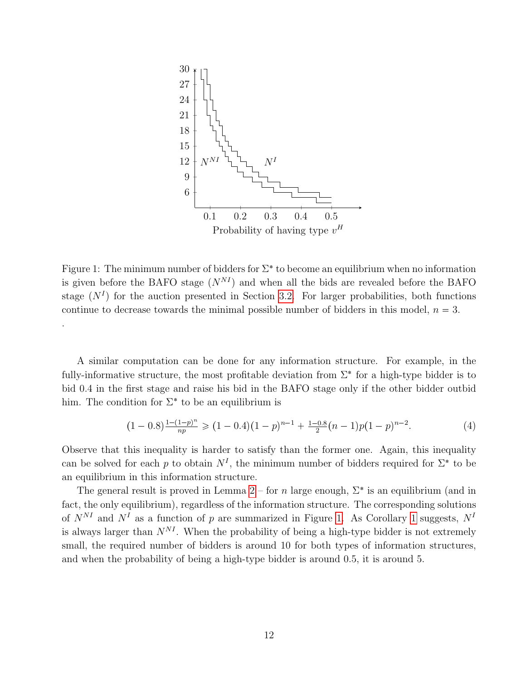

<span id="page-12-0"></span>Figure 1: The minimum number of bidders for  $\Sigma^*$  to become an equilibrium when no information is given before the BAFO stage  $(N^{NI})$  and when all the bids are revealed before the BAFO stage  $(N<sup>I</sup>)$  for the auction presented in Section [3.2.](#page-11-0) For larger probabilities, both functions continue to decrease towards the minimal possible number of bidders in this model,  $n = 3$ . .

A similar computation can be done for any information structure. For example, in the fully-informative structure, the most profitable deviation from  $\Sigma^*$  for a high-type bidder is to bid 0.4 in the first stage and raise his bid in the BAFO stage only if the other bidder outbid him. The condition for  $\Sigma^*$  to be an equilibrium is

$$
(1-0.8)^{\frac{1-(1-p)^n}{np}} \geq (1-0.4)(1-p)^{n-1} + \frac{1-0.8}{2}(n-1)p(1-p)^{n-2}.
$$
 (4)

Observe that this inequality is harder to satisfy than the former one. Again, this inequality can be solved for each p to obtain  $N<sup>I</sup>$ , the minimum number of bidders required for  $\Sigma^*$  to be an equilibrium in this information structure.

The general result is proved in Lemma [2](#page-13-2) – for n large enough,  $\Sigma^*$  is an equilibrium (and in fact, the only equilibrium), regardless of the information structure. The corresponding solutions of  $N^{NI}$  and  $N^I$  as a function of p are summarized in Figure [1.](#page-12-0) As Corollary [1](#page-15-0) suggests,  $N^I$ is always larger than  $N^{NI}$ . When the probability of being a high-type bidder is not extremely small, the required number of bidders is around 10 for both types of information structures, and when the probability of being a high-type bidder is around 0.5, it is around 5.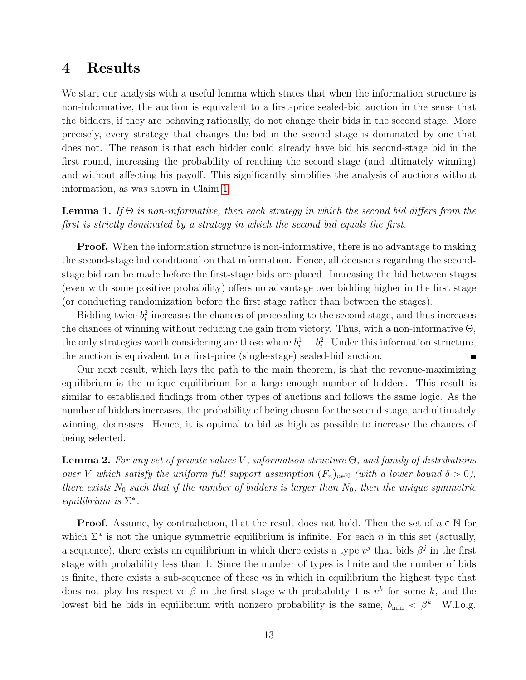#### <span id="page-13-0"></span>4 Results

We start our analysis with a useful lemma which states that when the information structure is non-informative, the auction is equivalent to a first-price sealed-bid auction in the sense that the bidders, if they are behaving rationally, do not change their bids in the second stage. More precisely, every strategy that changes the bid in the second stage is dominated by one that does not. The reason is that each bidder could already have bid his second-stage bid in the first round, increasing the probability of reaching the second stage (and ultimately winning) and without affecting his payoff. This significantly simplifies the analysis of auctions without information, as was shown in Claim [1.](#page-10-1)

<span id="page-13-1"></span>**Lemma 1.** If  $\Theta$  is non-informative, then each strategy in which the second bid differs from the first is strictly dominated by a strategy in which the second bid equals the first.

**Proof.** When the information structure is non-informative, there is no advantage to making the second-stage bid conditional on that information. Hence, all decisions regarding the secondstage bid can be made before the first-stage bids are placed. Increasing the bid between stages (even with some positive probability) offers no advantage over bidding higher in the first stage (or conducting randomization before the first stage rather than between the stages).

Bidding twice  $b_i^2$  increases the chances of proceeding to the second stage, and thus increases the chances of winning without reducing the gain from victory. Thus, with a non-informative  $\Theta$ , the only strategies worth considering are those where  $b_i^1 = b_i^2$ . Under this information structure, the auction is equivalent to a first-price (single-stage) sealed-bid auction.

Our next result, which lays the path to the main theorem, is that the revenue-maximizing equilibrium is the unique equilibrium for a large enough number of bidders. This result is similar to established findings from other types of auctions and follows the same logic. As the number of bidders increases, the probability of being chosen for the second stage, and ultimately winning, decreases. Hence, it is optimal to bid as high as possible to increase the chances of being selected.

<span id="page-13-2"></span>**Lemma 2.** For any set of private values V, information structure  $\Theta$ , and family of distributions over V which satisfy the uniform full support assumption  $(F_n)_{n\in\mathbb{N}}$  (with a lower bound  $\delta > 0$ ), there exists  $N_0$  such that if the number of bidders is larger than  $N_0$ , then the unique symmetric equilibrium is  $\Sigma^*$ .

**Proof.** Assume, by contradiction, that the result does not hold. Then the set of  $n \in \mathbb{N}$  for which  $\Sigma^*$  is not the unique symmetric equilibrium is infinite. For each n in this set (actually, a sequence), there exists an equilibrium in which there exists a type  $v^j$  that bids  $\beta^j$  in the first stage with probability less than 1. Since the number of types is finite and the number of bids is finite, there exists a sub-sequence of these ns in which in equilibrium the highest type that does not play his respective  $\beta$  in the first stage with probability 1 is  $v^k$  for some k, and the lowest bid he bids in equilibrium with nonzero probability is the same,  $b_{\min} < \beta^k$ . W.l.o.g.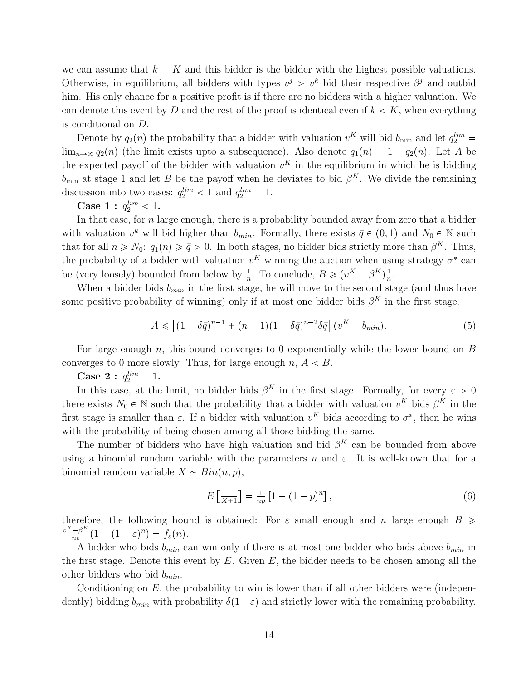we can assume that  $k = K$  and this bidder is the bidder with the highest possible valuations. Otherwise, in equilibrium, all bidders with types  $v^j > v^k$  bid their respective  $\beta^j$  and outbid him. His only chance for a positive profit is if there are no bidders with a higher valuation. We can denote this event by D and the rest of the proof is identical even if  $k < K$ , when everything is conditional on D.

Denote by  $q_2(n)$  the probability that a bidder with valuation  $v^K$  will bid  $b_{\min}$  and let  $q_2^{lim}$  $\lim_{n\to\infty} q_2(n)$  (the limit exists upto a subsequence). Also denote  $q_1(n) = 1 - q_2(n)$ . Let A be the expected payoff of the bidder with valuation  $v<sup>K</sup>$  in the equilibrium in which he is bidding  $b_{\min}$  at stage 1 and let B be the payoff when he deviates to bid  $\beta^{K}$ . We divide the remaining discussion into two cases:  $q_2^{lim} < 1$  and  $q_2^{lim} = 1$ .

Case 1 :  $q_2^{lim} < 1$ .

In that case, for  $n$  large enough, there is a probability bounded away from zero that a bidder with valuation  $v^k$  will bid higher than  $b_{min}$ . Formally, there exists  $\bar{q} \in (0, 1)$  and  $N_0 \in \mathbb{N}$  such that for all  $n \ge N_0$ :  $q_1(n) \ge \bar{q} > 0$ . In both stages, no bidder bids strictly more than  $\beta^K$ . Thus, the probability of a bidder with valuation  $v<sup>K</sup>$  winning the auction when using strategy  $\sigma^*$  can be (very loosely) bounded from below by  $\frac{1}{n}$ . To conclude,  $B \geq (v^K - \beta^K)^{\frac{1}{n}}$  $\frac{1}{n}$ .

When a bidder bids  $b_{min}$  in the first stage, he will move to the second stage (and thus have some positive probability of winning) only if at most one bidder bids  $\beta^{K}$  in the first stage.

$$
A \le [(1 - \delta \bar{q})^{n-1} + (n-1)(1 - \delta \bar{q})^{n-2} \delta \bar{q}](v^K - b_{min}).
$$
\n(5)

For large enough n, this bound converges to 0 exponentially while the lower bound on  $B$ converges to 0 more slowly. Thus, for large enough  $n, A < B$ .

Case 2 :  $q_2^{lim} = 1$ .

In this case, at the limit, no bidder bids  $\beta^{K}$  in the first stage. Formally, for every  $\varepsilon > 0$ there exists  $N_0 \in \mathbb{N}$  such that the probability that a bidder with valuation  $v^K$  bids  $\beta^K$  in the first stage is smaller than  $\varepsilon$ . If a bidder with valuation  $v<sup>K</sup>$  bids according to  $\sigma^*$ , then he wins with the probability of being chosen among all those bidding the same.

The number of bidders who have high valuation and bid  $\beta^{K}$  can be bounded from above using a binomial random variable with the parameters n and  $\varepsilon$ . It is well-known that for a binomial random variable  $X \sim Bin(n, p)$ ,

<span id="page-14-0"></span>
$$
E\left[\frac{1}{X+1}\right] = \frac{1}{np}\left[1 - (1-p)^n\right],\tag{6}
$$

therefore, the following bound is obtained: For  $\varepsilon$  small enough and n large enough  $B \ge$  $v^K - \beta^K$  $\frac{-\beta^{\mathbf{k}}}{n\varepsilon}(1-(1-\varepsilon)^n)=f_{\varepsilon}(n).$ 

A bidder who bids  $b_{min}$  can win only if there is at most one bidder who bids above  $b_{min}$  in the first stage. Denote this event by  $E$ . Given  $E$ , the bidder needs to be chosen among all the other bidders who bid  $b_{min}$ .

Conditioning on  $E$ , the probability to win is lower than if all other bidders were (independently) bidding  $b_{min}$  with probability  $\delta(1-\varepsilon)$  and strictly lower with the remaining probability.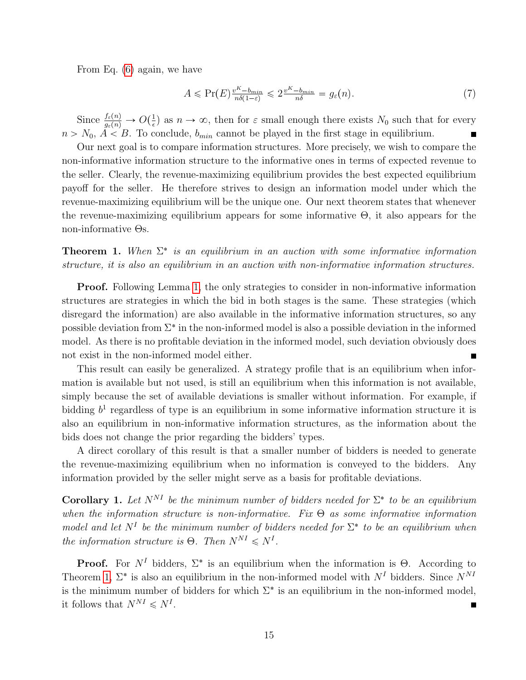From Eq. [\(6\)](#page-14-0) again, we have

$$
A \le \Pr(E) \frac{v^{K} - b_{\min}}{n\delta(1 - \varepsilon)} \le 2 \frac{v^{K} - b_{\min}}{n\delta} = g_{\varepsilon}(n). \tag{7}
$$

Since  $\frac{f_{\varepsilon}(n)}{g_{\varepsilon}(n)} \to O(\frac{1}{\epsilon})$  $\frac{1}{\epsilon}$  as  $n \to \infty$ , then for  $\varepsilon$  small enough there exists  $N_0$  such that for every  $n > N_0$ ,  $A < B$ . To conclude,  $b_{min}$  cannot be played in the first stage in equilibrium.  $\blacksquare$ 

Our next goal is to compare information structures. More precisely, we wish to compare the non-informative information structure to the informative ones in terms of expected revenue to the seller. Clearly, the revenue-maximizing equilibrium provides the best expected equilibrium payoff for the seller. He therefore strives to design an information model under which the revenue-maximizing equilibrium will be the unique one. Our next theorem states that whenever the revenue-maximizing equilibrium appears for some informative  $\Theta$ , it also appears for the non-informative Θs.

<span id="page-15-1"></span>**Theorem 1.** When  $\Sigma^*$  is an equilibrium in an auction with some informative information structure, it is also an equilibrium in an auction with non-informative information structures.

**Proof.** Following Lemma [1,](#page-13-1) the only strategies to consider in non-informative information structures are strategies in which the bid in both stages is the same. These strategies (which disregard the information) are also available in the informative information structures, so any possible deviation from  $\Sigma^*$  in the non-informed model is also a possible deviation in the informed model. As there is no profitable deviation in the informed model, such deviation obviously does not exist in the non-informed model either.

This result can easily be generalized. A strategy profile that is an equilibrium when information is available but not used, is still an equilibrium when this information is not available, simply because the set of available deviations is smaller without information. For example, if bidding  $b<sup>1</sup>$  regardless of type is an equilibrium in some informative information structure it is also an equilibrium in non-informative information structures, as the information about the bids does not change the prior regarding the bidders' types.

A direct corollary of this result is that a smaller number of bidders is needed to generate the revenue-maximizing equilibrium when no information is conveyed to the bidders. Any information provided by the seller might serve as a basis for profitable deviations.

<span id="page-15-0"></span>**Corollary 1.** Let  $N^{NI}$  be the minimum number of bidders needed for  $\Sigma^*$  to be an equilibrium when the information structure is non-informative. Fix  $\Theta$  as some informative information model and let  $N^I$  be the minimum number of bidders needed for  $\Sigma^*$  to be an equilibrium when the information structure is  $\Theta$ . Then  $N^{NI} \leq N^I$ .

**Proof.** For  $N<sup>I</sup>$  bidders,  $\Sigma^*$  is an equilibrium when the information is  $\Theta$ . According to Theorem [1,](#page-15-1)  $\Sigma^*$  is also an equilibrium in the non-informed model with  $N<sup>I</sup>$  bidders. Since  $N<sup>NI</sup>$ is the minimum number of bidders for which  $\Sigma^*$  is an equilibrium in the non-informed model, it follows that  $N^{NI} \leq N^I$ .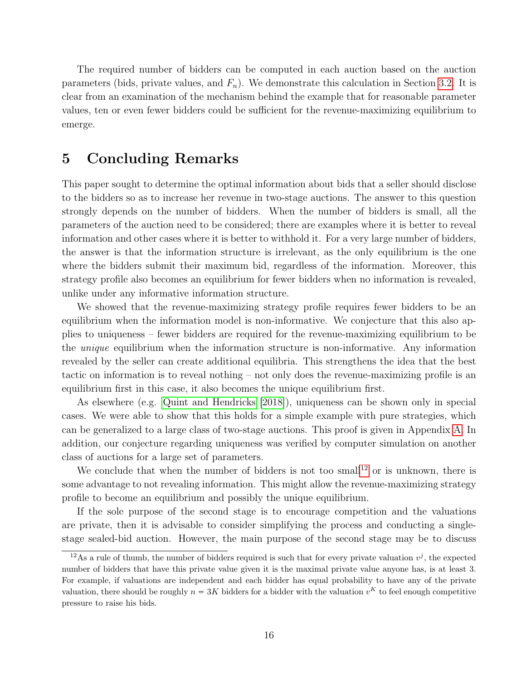The required number of bidders can be computed in each auction based on the auction parameters (bids, private values, and  $F_n$ ). We demonstrate this calculation in Section [3.2.](#page-11-0) It is clear from an examination of the mechanism behind the example that for reasonable parameter values, ten or even fewer bidders could be sufficient for the revenue-maximizing equilibrium to emerge.

### <span id="page-16-0"></span>5 Concluding Remarks

This paper sought to determine the optimal information about bids that a seller should disclose to the bidders so as to increase her revenue in two-stage auctions. The answer to this question strongly depends on the number of bidders. When the number of bidders is small, all the parameters of the auction need to be considered; there are examples where it is better to reveal information and other cases where it is better to withhold it. For a very large number of bidders, the answer is that the information structure is irrelevant, as the only equilibrium is the one where the bidders submit their maximum bid, regardless of the information. Moreover, this strategy profile also becomes an equilibrium for fewer bidders when no information is revealed, unlike under any informative information structure.

We showed that the revenue-maximizing strategy profile requires fewer bidders to be an equilibrium when the information model is non-informative. We conjecture that this also applies to uniqueness – fewer bidders are required for the revenue-maximizing equilibrium to be the unique equilibrium when the information structure is non-informative. Any information revealed by the seller can create additional equilibria. This strengthens the idea that the best tactic on information is to reveal nothing – not only does the revenue-maximizing profile is an equilibrium first in this case, it also becomes the unique equilibrium first.

As elsewhere (e.g. [Quint and Hendricks](#page-18-5) [\[2018\]](#page-18-5)), uniqueness can be shown only in special cases. We were able to show that this holds for a simple example with pure strategies, which can be generalized to a large class of two-stage auctions. This proof is given in Appendix [A.](#page-19-0) In addition, our conjecture regarding uniqueness was verified by computer simulation on another class of auctions for a large set of parameters.

We conclude that when the number of bidders is not too small<sup>[12](#page-16-1)</sup> or is unknown, there is some advantage to not revealing information. This might allow the revenue-maximizing strategy profile to become an equilibrium and possibly the unique equilibrium.

If the sole purpose of the second stage is to encourage competition and the valuations are private, then it is advisable to consider simplifying the process and conducting a singlestage sealed-bid auction. However, the main purpose of the second stage may be to discuss

<span id="page-16-1"></span><sup>&</sup>lt;sup>12</sup>As a rule of thumb, the number of bidders required is such that for every private valuation  $v^j$ , the expected number of bidders that have this private value given it is the maximal private value anyone has, is at least 3. For example, if valuations are independent and each bidder has equal probability to have any of the private For example, if valuations are independent and each bidder has equal probability to have any of the private valuation, there should be roughly  $n = 3K$  bidders for a bidder with the valuation  $v^K$  to feel enough competitiv pressure to raise his bids.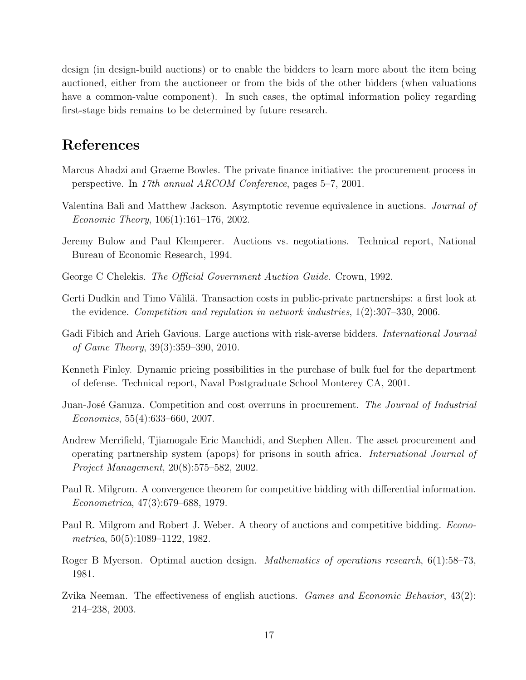design (in design-build auctions) or to enable the bidders to learn more about the item being auctioned, either from the auctioneer or from the bids of the other bidders (when valuations have a common-value component). In such cases, the optimal information policy regarding first-stage bids remains to be determined by future research.

## References

- <span id="page-17-7"></span>Marcus Ahadzi and Graeme Bowles. The private finance initiative: the procurement process in perspective. In 17th annual ARCOM Conference, pages 5–7, 2001.
- <span id="page-17-3"></span>Valentina Bali and Matthew Jackson. Asymptotic revenue equivalence in auctions. Journal of Economic Theory, 106(1):161–176, 2002.
- <span id="page-17-1"></span>Jeremy Bulow and Paul Klemperer. Auctions vs. negotiations. Technical report, National Bureau of Economic Research, 1994.
- <span id="page-17-10"></span>George C Chelekis. The Official Government Auction Guide. Crown, 1992.
- <span id="page-17-8"></span>Gerti Dudkin and Timo Välilä. Transaction costs in public-private partnerships: a first look at the evidence. Competition and regulation in network industries, 1(2):307–330, 2006.
- <span id="page-17-4"></span>Gadi Fibich and Arieh Gavious. Large auctions with risk-averse bidders. International Journal of Game Theory, 39(3):359–390, 2010.
- <span id="page-17-11"></span>Kenneth Finley. Dynamic pricing possibilities in the purchase of bulk fuel for the department of defense. Technical report, Naval Postgraduate School Monterey CA, 2001.
- <span id="page-17-6"></span>Juan-José Ganuza. Competition and cost overruns in procurement. The Journal of Industrial Economics, 55(4):633–660, 2007.
- <span id="page-17-9"></span>Andrew Merrifield, Tjiamogale Eric Manchidi, and Stephen Allen. The asset procurement and operating partnership system (apops) for prisons in south africa. International Journal of Project Management, 20(8):575–582, 2002.
- <span id="page-17-0"></span>Paul R. Milgrom. A convergence theorem for competitive bidding with differential information. Econometrica, 47(3):679–688, 1979.
- <span id="page-17-12"></span>Paul R. Milgrom and Robert J. Weber. A theory of auctions and competitive bidding. *Econo*metrica, 50(5):1089–1122, 1982.
- <span id="page-17-5"></span>Roger B Myerson. Optimal auction design. Mathematics of operations research, 6(1):58–73, 1981.
- <span id="page-17-2"></span>Zvika Neeman. The effectiveness of english auctions. *Games and Economic Behavior*, 43(2): 214–238, 2003.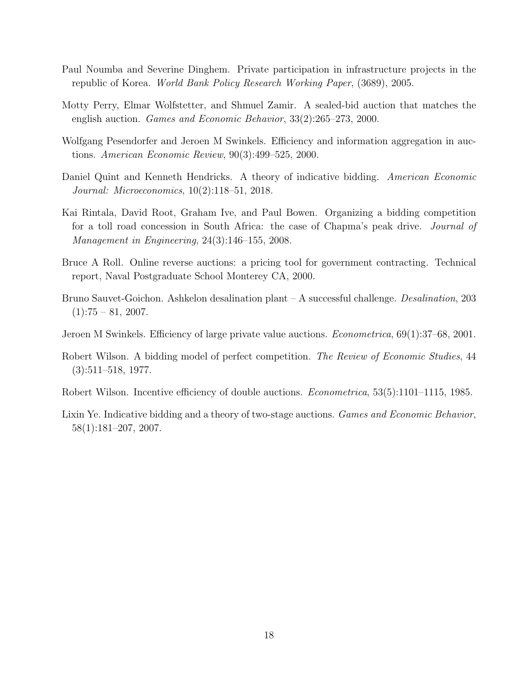- <span id="page-18-6"></span>Paul Noumba and Severine Dinghem. Private participation in infrastructure projects in the republic of Korea. World Bank Policy Research Working Paper, (3689), 2005.
- <span id="page-18-4"></span>Motty Perry, Elmar Wolfstetter, and Shmuel Zamir. A sealed-bid auction that matches the english auction. Games and Economic Behavior, 33(2):265–273, 2000.
- <span id="page-18-2"></span>Wolfgang Pesendorfer and Jeroen M Swinkels. Efficiency and information aggregation in auctions. American Economic Review, 90(3):499–525, 2000.
- <span id="page-18-5"></span>Daniel Quint and Kenneth Hendricks. A theory of indicative bidding. American Economic Journal: Microeconomics, 10(2):118–51, 2018.
- <span id="page-18-8"></span>Kai Rintala, David Root, Graham Ive, and Paul Bowen. Organizing a bidding competition for a toll road concession in South Africa: the case of Chapma's peak drive. Journal of Management in Engineering, 24(3):146–155, 2008.
- <span id="page-18-9"></span>Bruce A Roll. Online reverse auctions: a pricing tool for government contracting. Technical report, Naval Postgraduate School Monterey CA, 2000.
- <span id="page-18-7"></span>Bruno Sauvet-Goichon. Ashkelon desalination plant – A successful challenge. Desalination, 203  $(1):75 - 81, 2007.$
- <span id="page-18-3"></span>Jeroen M Swinkels. Efficiency of large private value auctions. Econometrica, 69(1):37–68, 2001.
- <span id="page-18-0"></span>Robert Wilson. A bidding model of perfect competition. The Review of Economic Studies, 44 (3):511–518, 1977.
- <span id="page-18-1"></span>Robert Wilson. Incentive efficiency of double auctions. Econometrica, 53(5):1101–1115, 1985.
- <span id="page-18-10"></span>Lixin Ye. Indicative bidding and a theory of two-stage auctions. *Games and Economic Behavior*, 58(1):181–207, 2007.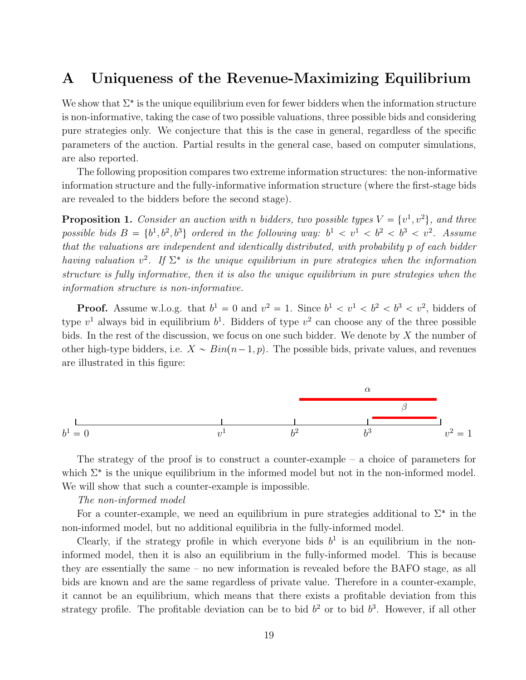## <span id="page-19-0"></span>A Uniqueness of the Revenue-Maximizing Equilibrium

We show that  $\Sigma^*$  is the unique equilibrium even for fewer bidders when the information structure is non-informative, taking the case of two possible valuations, three possible bids and considering pure strategies only. We conjecture that this is the case in general, regardless of the specific parameters of the auction. Partial results in the general case, based on computer simulations, are also reported.

The following proposition compares two extreme information structures: the non-informative information structure and the fully-informative information structure (where the first-stage bids are revealed to the bidders before the second stage).

**Proposition 1.** Consider an auction with n bidders, two possible types  $V = \{v^1, v^2\}$ , and three possible bids  $B = \{b^1, b^2, b^3\}$  ordered in the following way:  $b^1 < v^1 < b^2 < b^3 < v^2$ . Assume that the valuations are independent and identically distributed, with probability p of each bidder having valuation  $v^2$ . If  $\Sigma^*$  is the unique equilibrium in pure strategies when the information structure is fully informative, then it is also the unique equilibrium in pure strategies when the information structure is non-informative.

**Proof.** Assume w.l.o.g. that  $b^1 = 0$  and  $v^2 = 1$ . Since  $b^1 < v^1 < b^2 < b^3 < v^2$ , bidders of type  $v^1$  always bid in equilibrium  $b^1$ . Bidders of type  $v^2$  can choose any of the three possible bids. In the rest of the discussion, we focus on one such bidder. We denote by X the number of other high-type bidders, i.e.  $X \sim Bin(n-1, p)$ . The possible bids, private values, and revenues are illustrated in this figure:



The strategy of the proof is to construct a counter-example  $-$  a choice of parameters for which  $\Sigma^*$  is the unique equilibrium in the informed model but not in the non-informed model. We will show that such a counter-example is impossible.

#### The non-informed model

For a counter-example, we need an equilibrium in pure strategies additional to  $\Sigma^*$  in the non-informed model, but no additional equilibria in the fully-informed model.

Clearly, if the strategy profile in which everyone bids  $b<sup>1</sup>$  is an equilibrium in the noninformed model, then it is also an equilibrium in the fully-informed model. This is because they are essentially the same – no new information is revealed before the BAFO stage, as all bids are known and are the same regardless of private value. Therefore in a counter-example, it cannot be an equilibrium, which means that there exists a profitable deviation from this strategy profile. The profitable deviation can be to bid  $b<sup>2</sup>$  or to bid  $b<sup>3</sup>$ . However, if all other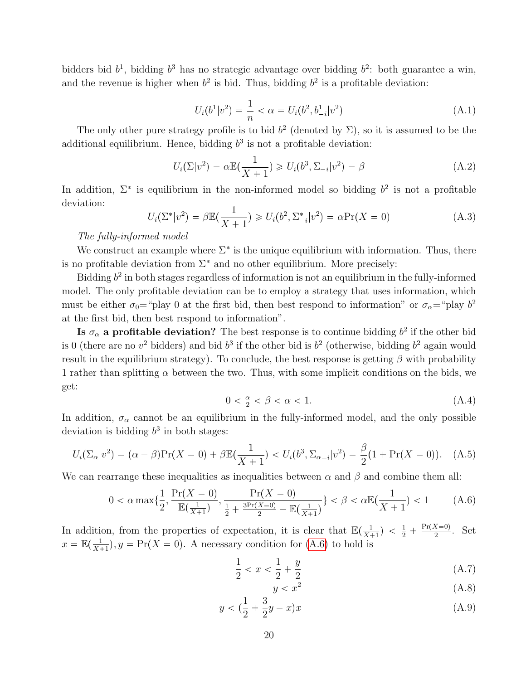bidders bid  $b^1$ , bidding  $b^3$  has no strategic advantage over bidding  $b^2$ : both guarantee a win, and the revenue is higher when  $b^2$  is bid. Thus, bidding  $b^2$  is a profitable deviation:

$$
U_i(b^1|v^2) = \frac{1}{n} < \alpha = U_i(b^2, b_{-i}^1|v^2) \tag{A.1}
$$

The only other pure strategy profile is to bid  $b^2$  (denoted by  $\Sigma$ ), so it is assumed to be the additional equilibrium. Hence, bidding  $b<sup>3</sup>$  is not a profitable deviation:

$$
U_i(\Sigma|v^2) = \alpha \mathbb{E}(\frac{1}{X+1}) \ge U_i(b^3, \Sigma_{-i}|v^2) = \beta
$$
\n(A.2)

In addition,  $\Sigma^*$  is equilibrium in the non-informed model so bidding  $b^2$  is not a profitable deviation:

$$
U_i(\Sigma^* | v^2) = \beta \mathbb{E}(\frac{1}{X+1}) \ge U_i(b^2, \Sigma_{-i}^* | v^2) = \alpha \Pr(X=0)
$$
 (A.3)

#### The fully-informed model

We construct an example where  $\Sigma^*$  is the unique equilibrium with information. Thus, there is no profitable deviation from  $\Sigma^*$  and no other equilibrium. More precisely:

Bidding  $b^2$  in both stages regardless of information is not an equilibrium in the fully-informed model. The only profitable deviation can be to employ a strategy that uses information, which must be either  $\sigma_0$ ="play 0 at the first bid, then best respond to information" or  $\sigma_\alpha$ ="play  $b^2$ at the first bid, then best respond to information".

**Is**  $\sigma_{\alpha}$  a profitable deviation? The best response is to continue bidding  $b^2$  if the other bid is 0 (there are no  $v^2$  bidders) and bid  $b^3$  if the other bid is  $b^2$  (otherwise, bidding  $b^2$  again would result in the equilibrium strategy). To conclude, the best response is getting  $\beta$  with probability 1 rather than splitting  $\alpha$  between the two. Thus, with some implicit conditions on the bids, we get:

$$
0 < \frac{\alpha}{2} < \beta < \alpha < 1. \tag{A.4}
$$

In addition,  $\sigma_{\alpha}$  cannot be an equilibrium in the fully-informed model, and the only possible deviation is bidding  $b^3$  in both stages:

$$
U_i(\Sigma_\alpha|v^2) = (\alpha - \beta) \Pr(X = 0) + \beta \mathbb{E}(\frac{1}{X+1}) < U_i(b^3, \Sigma_{\alpha - i}|v^2) = \frac{\beta}{2}(1 + \Pr(X = 0)). \tag{A.5}
$$

We can rearrange these inequalities as inequalities between  $\alpha$  and  $\beta$  and combine them all:

<span id="page-20-0"></span>
$$
0 < \alpha \max\{\frac{1}{2}, \frac{\Pr(X=0)}{\mathbb{E}(\frac{1}{X+1})}, \frac{\Pr(X=0)}{\frac{1}{2} + \frac{3\Pr(X=0)}{2} - \mathbb{E}(\frac{1}{X+1})}\} < \beta < \alpha \mathbb{E}(\frac{1}{X+1}) < 1 \tag{A.6}
$$

In addition, from the properties of expectation, it is clear that  $\mathbb{E}(\frac{1}{X_1})$  $\frac{1}{X+1}$ ) <  $\frac{1}{2}$  +  $\frac{\Pr(X=0)}{2}$  $\frac{x=0}{2}$ . Set  $x = \mathbb{E}(\frac{1}{X})$  $\frac{1}{X+1}$ ,  $y = \Pr(X = 0)$ . A necessary condition for [\(A.6\)](#page-20-0) to hold is

<span id="page-20-1"></span>
$$
\frac{1}{2} < x < \frac{1}{2} + \frac{y}{2} \tag{A.7}
$$

$$
y < x^2 \tag{A.8}
$$

$$
y < (\frac{1}{2} + \frac{3}{2}y - x)x
$$
 (A.9)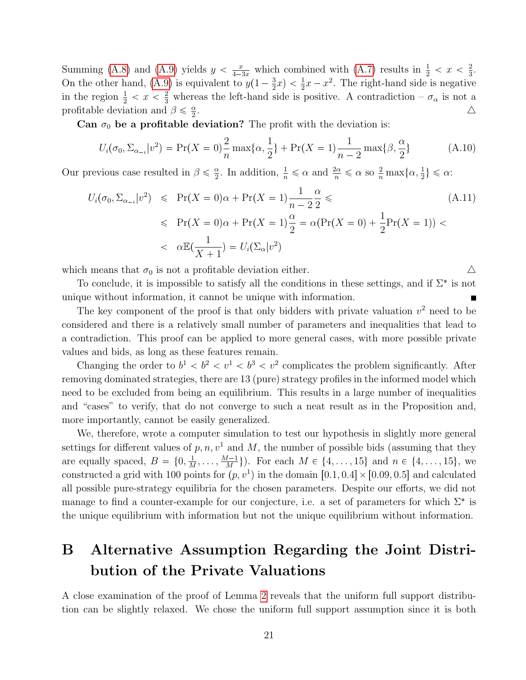Summing [\(A.8\)](#page-20-1) and [\(A.9\)](#page-20-1) yields  $y < \frac{x}{4-3x}$  which combined with [\(A.7\)](#page-20-1) results in  $\frac{1}{2} < x < \frac{2}{3}$  $\frac{2}{3}$ . On the other hand, [\(A.9\)](#page-20-1) is equivalent to  $y(1-\frac{3}{2})$  $(\frac{3}{2}x) < \frac{1}{2}x - x^2$ . The right-hand side is negative in the region  $\frac{1}{2} < x < \frac{2}{3}$  whereas the left-hand side is positive. A contradiction  $-\sigma_{\alpha}$  is not a profitable deviation and  $\beta \leq \frac{\alpha}{2}$ 2 . And the contract of the contract of  $\Delta$ 

Can  $\sigma_0$  be a profitable deviation? The profit with the deviation is:

$$
U_i(\sigma_0, \Sigma_{\alpha_{-i}} | v^2) = \Pr(X = 0) \frac{2}{n} \max\{\alpha, \frac{1}{2}\} + \Pr(X = 1) \frac{1}{n-2} \max\{\beta, \frac{\alpha}{2}\}
$$
(A.10)

Our previous case resulted in  $\beta \leq \frac{\alpha}{2}$  $\frac{\alpha}{2}$ . In addition,  $\frac{1}{n} \le \alpha$  and  $\frac{2\alpha}{n} \le \alpha$  so  $\frac{2}{n} \max\{\alpha, \frac{1}{2}\}\le \alpha$ :

$$
U_i(\sigma_0, \Sigma_{\alpha_{-i}} | v^2) \leqslant \Pr(X = 0)\alpha + \Pr(X = 1) \frac{1}{n-2} \frac{\alpha}{2} \leqslant
$$
\n
$$
\leqslant \Pr(X = 0)\alpha + \Pr(X = 1) \frac{\alpha}{2} = \alpha(\Pr(X = 0) + \frac{1}{2}\Pr(X = 1)) <
$$
\n
$$
\leqslant \alpha \mathbb{E}(\frac{1}{X+1}) = U_i(\Sigma_{\alpha} | v^2)
$$
\n(A.11)

which means that  $\sigma_0$  is not a profitable deviation either.  $\Delta$ 

To conclude, it is impossible to satisfy all the conditions in these settings, and if  $\Sigma^*$  is not unique without information, it cannot be unique with information. П

The key component of the proof is that only bidders with private valuation  $v^2$  need to be considered and there is a relatively small number of parameters and inequalities that lead to a contradiction. This proof can be applied to more general cases, with more possible private values and bids, as long as these features remain.

Changing the order to  $b^1 < b^2 < v^1 < b^3 < v^2$  complicates the problem significantly. After removing dominated strategies, there are 13 (pure) strategy profiles in the informed model which need to be excluded from being an equilibrium. This results in a large number of inequalities and "cases" to verify, that do not converge to such a neat result as in the Proposition and, more importantly, cannot be easily generalized.

We, therefore, wrote a computer simulation to test our hypothesis in slightly more general settings for different values of  $p, n, v<sup>1</sup>$  and M, the number of possible bids (assuming that they are equally spaced,  $B = \{0, \frac{1}{b}\}$  $\frac{1}{M}, \ldots, \frac{M-1}{M}$  $\{ \frac{M-1}{M} \}$ ). For each  $M \in \{4, \ldots, 15\}$  and  $n \in \{4, \ldots, 15\}$ , we constructed a grid with 100 points for  $(p, v^1)$  in the domain  $[0.1, 0.4] \times [0.09, 0.5]$  and calculated all possible pure-strategy equilibria for the chosen parameters. Despite our efforts, we did not manage to find a counter-example for our conjecture, i.e. a set of parameters for which  $\Sigma^*$  is the unique equilibrium with information but not the unique equilibrium without information.

## <span id="page-21-0"></span>B Alternative Assumption Regarding the Joint Distribution of the Private Valuations

A close examination of the proof of Lemma [2](#page-13-2) reveals that the uniform full support distribution can be slightly relaxed. We chose the uniform full support assumption since it is both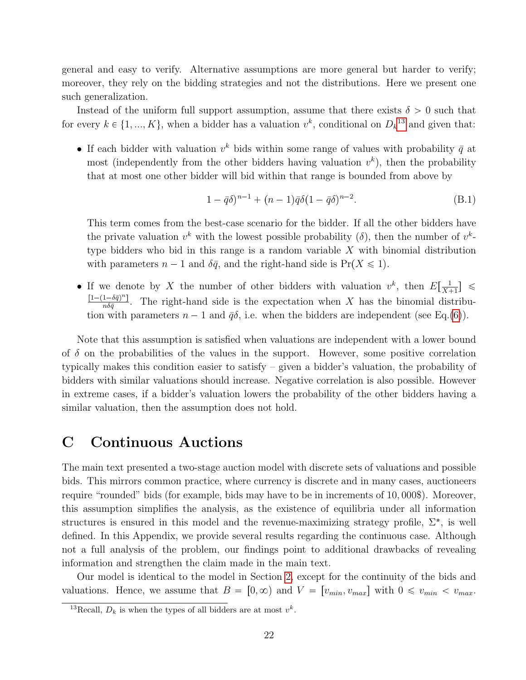general and easy to verify. Alternative assumptions are more general but harder to verify; moreover, they rely on the bidding strategies and not the distributions. Here we present one such generalization.

Instead of the uniform full support assumption, assume that there exists  $\delta > 0$  such that for every  $k \in \{1, ..., K\}$ , when a bidder has a valuation  $v^k$ , conditional on  $D_k^{13}$  $D_k^{13}$  $D_k^{13}$  and given that:

• If each bidder with valuation  $v^k$  bids within some range of values with probability  $\bar{q}$  at most (independently from the other bidders having valuation  $v^k$ ), then the probability that at most one other bidder will bid within that range is bounded from above by

$$
(B.1) \quad 1 - \bar{q}\delta)^{n-1} + (n-1)\bar{q}\delta(1 - \bar{q}\delta)^{n-2}.
$$

This term comes from the best-case scenario for the bidder. If all the other bidders have the private valuation  $v^k$  with the lowest possible probability ( $\delta$ ), then the number of  $v^k$ type bidders who bid in this range is a random variable  $X$  with binomial distribution with parameters  $n-1$  and  $\delta \bar{q}$ , and the right-hand side is  $Pr(X \leq 1)$ .

• If we denote by X the number of other bidders with valuation  $v^k$ , then  $E[\frac{1}{X}$  $\frac{1}{X+1}$   $\leq$  $\left[1-(1-\delta\bar{q})^n\right]$  $\frac{1-\sigma q}{n\delta \bar{q}}$ . The right-hand side is the expectation when X has the binomial distribution with parameters  $n - 1$  and  $\bar{q}\delta$ , i.e. when the bidders are independent (see Eq.[\(6\)](#page-14-0)).

Note that this assumption is satisfied when valuations are independent with a lower bound of  $\delta$  on the probabilities of the values in the support. However, some positive correlation typically makes this condition easier to satisfy – given a bidder's valuation, the probability of bidders with similar valuations should increase. Negative correlation is also possible. However in extreme cases, if a bidder's valuation lowers the probability of the other bidders having a similar valuation, then the assumption does not hold.

## <span id="page-22-0"></span>C Continuous Auctions

The main text presented a two-stage auction model with discrete sets of valuations and possible bids. This mirrors common practice, where currency is discrete and in many cases, auctioneers require "rounded" bids (for example, bids may have to be in increments of 10, 000\$). Moreover, this assumption simplifies the analysis, as the existence of equilibria under all information structures is ensured in this model and the revenue-maximizing strategy profile,  $\Sigma^*$ , is well defined. In this Appendix, we provide several results regarding the continuous case. Although not a full analysis of the problem, our findings point to additional drawbacks of revealing information and strengthen the claim made in the main text.

Our model is identical to the model in Section [2,](#page-6-0) except for the continuity of the bids and valuations. Hence, we assume that  $B = [0, \infty)$  and  $V = [v_{min}, v_{max}]$  with  $0 \le v_{min} < v_{max}$ .

<span id="page-22-1"></span><sup>&</sup>lt;sup>13</sup>Recall,  $D_k$  is when the types of all bidders are at most  $v^k$ .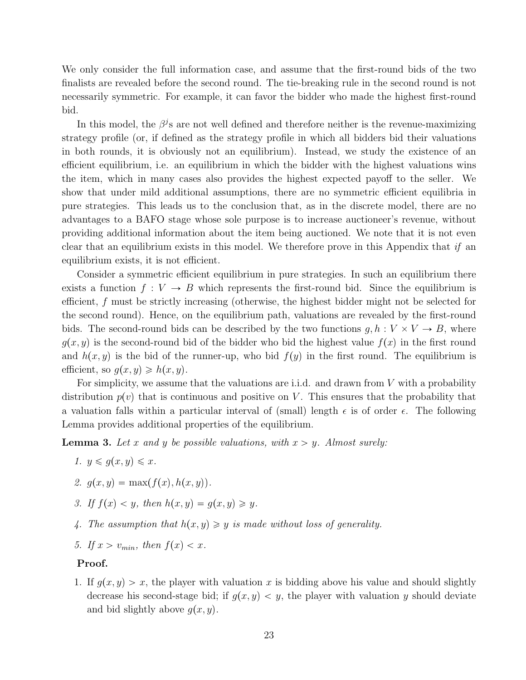We only consider the full information case, and assume that the first-round bids of the two finalists are revealed before the second round. The tie-breaking rule in the second round is not necessarily symmetric. For example, it can favor the bidder who made the highest first-round bid.

In this model, the  $\beta^j$ s are not well defined and therefore neither is the revenue-maximizing strategy profile (or, if defined as the strategy profile in which all bidders bid their valuations in both rounds, it is obviously not an equilibrium). Instead, we study the existence of an efficient equilibrium, i.e. an equilibrium in which the bidder with the highest valuations wins the item, which in many cases also provides the highest expected payoff to the seller. We show that under mild additional assumptions, there are no symmetric efficient equilibria in pure strategies. This leads us to the conclusion that, as in the discrete model, there are no advantages to a BAFO stage whose sole purpose is to increase auctioneer's revenue, without providing additional information about the item being auctioned. We note that it is not even clear that an equilibrium exists in this model. We therefore prove in this Appendix that if an equilibrium exists, it is not efficient.

Consider a symmetric efficient equilibrium in pure strategies. In such an equilibrium there exists a function  $f: V \to B$  which represents the first-round bid. Since the equilibrium is efficient, f must be strictly increasing (otherwise, the highest bidder might not be selected for the second round). Hence, on the equilibrium path, valuations are revealed by the first-round bids. The second-round bids can be described by the two functions  $g, h: V \times V \rightarrow B$ , where  $g(x, y)$  is the second-round bid of the bidder who bid the highest value  $f(x)$  in the first round and  $h(x, y)$  is the bid of the runner-up, who bid  $f(y)$  in the first round. The equilibrium is efficient, so  $g(x, y) \geq h(x, y)$ .

For simplicity, we assume that the valuations are i.i.d. and drawn from  $V$  with a probability distribution  $p(v)$  that is continuous and positive on V. This ensures that the probability that a valuation falls within a particular interval of (small) length  $\epsilon$  is of order  $\epsilon$ . The following Lemma provides additional properties of the equilibrium.

<span id="page-23-3"></span><span id="page-23-0"></span>**Lemma 3.** Let x and y be possible valuations, with  $x > y$ . Almost surely:

- 1.  $y \leqslant q(x, y) \leqslant x$ .
- <span id="page-23-1"></span>2.  $q(x, y) = \max(f(x), h(x, y)).$
- <span id="page-23-2"></span>3. If  $f(x) < y$ , then  $h(x, y) = g(x, y) \geq y$ .
- <span id="page-23-4"></span>4. The assumption that  $h(x, y) \geq y$  is made without loss of generality.
- 5. If  $x > v_{min}$ , then  $f(x) < x$ .

#### Proof.

1. If  $g(x, y) > x$ , the player with valuation x is bidding above his value and should slightly decrease his second-stage bid; if  $q(x, y) < y$ , the player with valuation y should deviate and bid slightly above  $q(x, y)$ .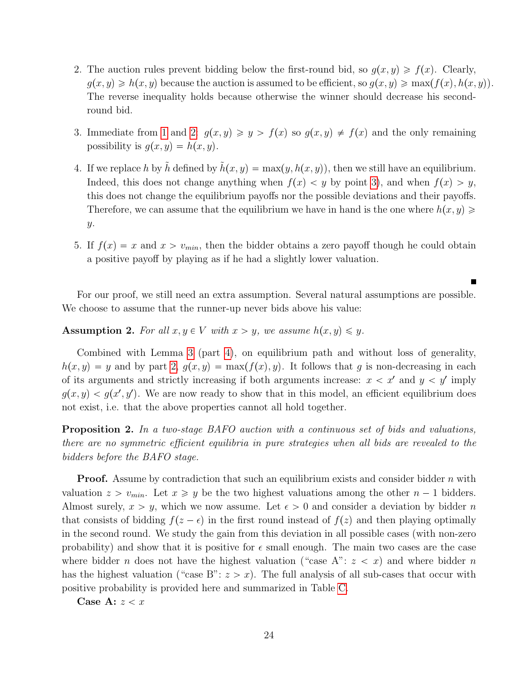- 2. The auction rules prevent bidding below the first-round bid, so  $g(x, y) \ge f(x)$ . Clearly,  $g(x, y) \geq h(x, y)$  because the auction is assumed to be efficient, so  $g(x, y) \geq \max(f(x), h(x, y))$ . The reverse inequality holds because otherwise the winner should decrease his secondround bid.
- 3. Immediate from [1](#page-23-0) and [2:](#page-23-1)  $g(x, y) \geq y > f(x)$  so  $g(x, y) \neq f(x)$  and the only remaining possibility is  $q(x, y) = h(x, y)$ .
- 4. If we replace h by h defined by  $\hat{h}(x, y) = \max(y, h(x, y))$ , then we still have an equilibrium. Indeed, this does not change anything when  $f(x) < y$  by point [3\)](#page-23-2), and when  $f(x) > y$ , this does not change the equilibrium payoffs nor the possible deviations and their payoffs. Therefore, we can assume that the equilibrium we have in hand is the one where  $h(x, y) \geq$ y.
- 5. If  $f(x) = x$  and  $x > v_{min}$ , then the bidder obtains a zero payoff though he could obtain a positive payoff by playing as if he had a slightly lower valuation.

For our proof, we still need an extra assumption. Several natural assumptions are possible. We choose to assume that the runner-up never bids above his value:

<span id="page-24-1"></span>**Assumption 2.** For all  $x, y \in V$  with  $x > y$ , we assume  $h(x, y) \leq y$ .

Combined with Lemma [3](#page-23-3) (part [4\)](#page-23-4), on equilibrium path and without loss of generality,  $h(x, y) = y$  and by part [2,](#page-23-1)  $g(x, y) = \max(f(x), y)$ . It follows that g is non-decreasing in each of its arguments and strictly increasing if both arguments increase:  $x < x'$  and  $y < y'$  imply  $g(x, y) < g(x', y')$ . We are now ready to show that in this model, an efficient equilibrium does not exist, i.e. that the above properties cannot all hold together.

<span id="page-24-0"></span>Proposition 2. In a two-stage BAFO auction with a continuous set of bids and valuations, there are no symmetric efficient equilibria in pure strategies when all bids are revealed to the bidders before the BAFO stage.

**Proof.** Assume by contradiction that such an equilibrium exists and consider bidder  $n$  with valuation  $z > v_{min}$ . Let  $x \geq y$  be the two highest valuations among the other  $n-1$  bidders. Almost surely,  $x > y$ , which we now assume. Let  $\epsilon > 0$  and consider a deviation by bidder n that consists of bidding  $f(z - \epsilon)$  in the first round instead of  $f(z)$  and then playing optimally in the second round. We study the gain from this deviation in all possible cases (with non-zero probability) and show that it is positive for  $\epsilon$  small enough. The main two cases are the case where bidder *n* does not have the highest valuation ("case A":  $z < x$ ) and where bidder *n* has the highest valuation ("case B":  $z > x$ ). The full analysis of all sub-cases that occur with positive probability is provided here and summarized in Table [C.](#page-24-0)

Case A:  $z < x$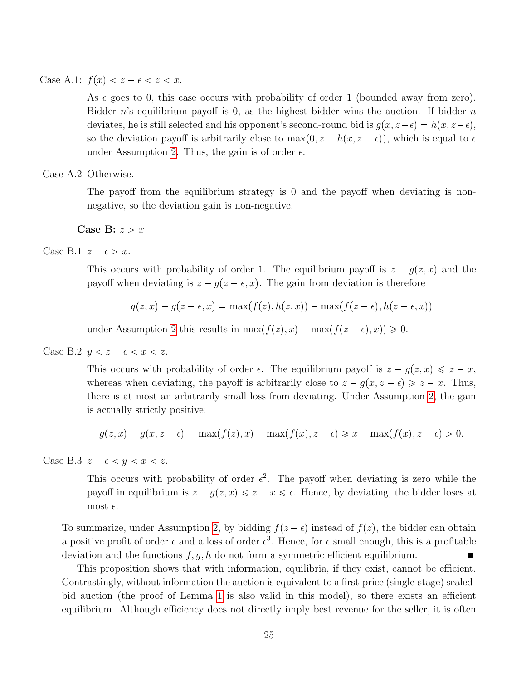Case A.1:  $f(x) < z - \epsilon < z < x$ .

As  $\epsilon$  goes to 0, this case occurs with probability of order 1 (bounded away from zero). Bidder n's equilibrium payoff is 0, as the highest bidder wins the auction. If bidder  $n$ deviates, he is still selected and his opponent's second-round bid is  $g(x, z-\epsilon) = h(x, z-\epsilon)$ , so the deviation payoff is arbitrarily close to  $\max(0, z - h(x, z - \epsilon))$ , which is equal to  $\epsilon$ under Assumption [2.](#page-24-1) Thus, the gain is of order  $\epsilon$ .

Case A.2 Otherwise.

The payoff from the equilibrium strategy is 0 and the payoff when deviating is nonnegative, so the deviation gain is non-negative.

Case B:  $z > x$ 

Case B.1  $z - \epsilon > x$ .

This occurs with probability of order 1. The equilibrium payoff is  $z - g(z, x)$  and the payoff when deviating is  $z - g(z - \epsilon, x)$ . The gain from deviation is therefore

$$
g(z, x) - g(z - \epsilon, x) = \max(f(z), h(z, x)) - \max(f(z - \epsilon), h(z - \epsilon, x))
$$

under Assumption [2](#page-24-1) this results in  $\max(f(z), x) - \max(f(z - \epsilon), x) \geq 0$ .

Case B.2  $y < z - \epsilon < x < z$ .

This occurs with probability of order  $\epsilon$ . The equilibrium payoff is  $z - g(z, x) \leq z - x$ , whereas when deviating, the payoff is arbitrarily close to  $z - g(x, z - \epsilon) \geq z - x$ . Thus, there is at most an arbitrarily small loss from deviating. Under Assumption [2,](#page-24-1) the gain is actually strictly positive:

$$
g(z,x) - g(x,z - \epsilon) = \max(f(z),x) - \max(f(x),z - \epsilon) \geq x - \max(f(x),z - \epsilon) > 0.
$$

Case B.3  $z - \epsilon < y < x < z$ .

This occurs with probability of order  $\epsilon^2$ . The payoff when deviating is zero while the payoff in equilibrium is  $z - g(z, x) \leq z - x \leq \epsilon$ . Hence, by deviating, the bidder loses at most  $\epsilon$ .

To summarize, under Assumption [2,](#page-24-1) by bidding  $f(z - \epsilon)$  instead of  $f(z)$ , the bidder can obtain a positive profit of order  $\epsilon$  and a loss of order  $\epsilon^3$ . Hence, for  $\epsilon$  small enough, this is a profitable deviation and the functions  $f, g, h$  do not form a symmetric efficient equilibrium.

This proposition shows that with information, equilibria, if they exist, cannot be efficient. Contrastingly, without information the auction is equivalent to a first-price (single-stage) sealedbid auction (the proof of Lemma [1](#page-13-1) is also valid in this model), so there exists an efficient equilibrium. Although efficiency does not directly imply best revenue for the seller, it is often